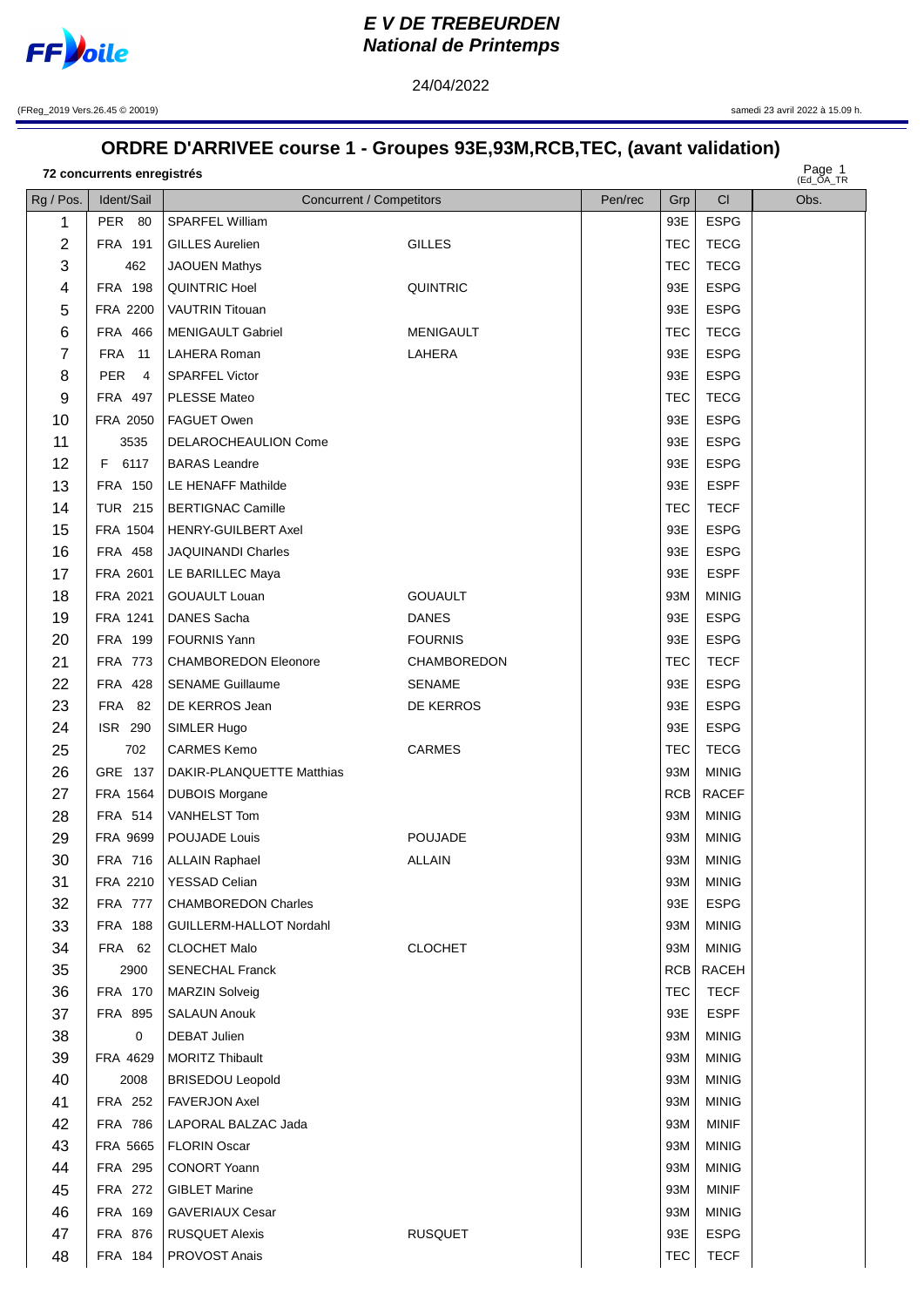

## **EV DE TREBEURDEN National de Printemps**

(FReg\_2019 Vers.26.45 © 20019)

samedi 23 avril 2022 à 15.09 h.

## ORDRE D'ARRIVEE course 1 - Groupes 93E,93M,RCB,TEC, (avant validation)

24/04/2022

72 concurrents enregistrés

Page 1

| Rg / Pos.      | Ident/Sail            | <b>Concurrent / Competitors</b> |                  | Pen/rec | Grp        | <b>CI</b>    | $($ EU_UA_IR<br>Obs. |
|----------------|-----------------------|---------------------------------|------------------|---------|------------|--------------|----------------------|
| 1              | PER 80                | <b>SPARFEL William</b>          |                  |         | 93E        | <b>ESPG</b>  |                      |
| $\overline{2}$ | FRA 191               | <b>GILLES Aurelien</b>          | <b>GILLES</b>    |         | <b>TEC</b> | <b>TECG</b>  |                      |
| 3              | 462                   | <b>JAOUEN Mathys</b>            |                  |         | <b>TEC</b> | <b>TECG</b>  |                      |
| 4              | FRA 198               | <b>QUINTRIC Hoel</b>            | <b>QUINTRIC</b>  |         | 93E        | <b>ESPG</b>  |                      |
| 5              | FRA 2200              | <b>VAUTRIN Titouan</b>          |                  |         | 93E        | <b>ESPG</b>  |                      |
| 6              | FRA 466               | <b>MENIGAULT Gabriel</b>        | <b>MENIGAULT</b> |         | <b>TEC</b> | <b>TECG</b>  |                      |
| $\overline{7}$ | <b>FRA</b> 11         | <b>LAHERA Roman</b>             | LAHERA           |         | 93E        | <b>ESPG</b>  |                      |
| 8              | PER<br>$\overline{4}$ | <b>SPARFEL Victor</b>           |                  |         | 93E        | <b>ESPG</b>  |                      |
| 9              | FRA 497               | <b>PLESSE Mateo</b>             |                  |         | <b>TEC</b> | <b>TECG</b>  |                      |
| 10             | FRA 2050              | FAGUET Owen                     |                  |         | 93E        | <b>ESPG</b>  |                      |
| 11             | 3535                  | DELAROCHEAULION Come            |                  |         | 93E        | <b>ESPG</b>  |                      |
| 12             | F 6117                | <b>BARAS</b> Leandre            |                  |         | 93E        | <b>ESPG</b>  |                      |
| 13             | FRA 150               | <b>LE HENAFF Mathilde</b>       |                  |         | 93E        | <b>ESPF</b>  |                      |
| 14             | <b>TUR 215</b>        | <b>BERTIGNAC Camille</b>        |                  |         | <b>TEC</b> | <b>TECF</b>  |                      |
| 15             | FRA 1504              | <b>HENRY-GUILBERT Axel</b>      |                  |         | 93E        | <b>ESPG</b>  |                      |
| 16             | <b>FRA 458</b>        | JAQUINANDI Charles              |                  |         | 93E        | <b>ESPG</b>  |                      |
| 17             | FRA 2601              | LE BARILLEC Maya                |                  |         | 93E        | <b>ESPF</b>  |                      |
| 18             | FRA 2021              | <b>GOUAULT Louan</b>            | <b>GOUAULT</b>   |         | 93M        | <b>MINIG</b> |                      |
| 19             | FRA 1241              | DANES Sacha                     | <b>DANES</b>     |         | 93E        | <b>ESPG</b>  |                      |
| 20             | FRA 199               | <b>FOURNIS Yann</b>             | <b>FOURNIS</b>   |         | 93E        | <b>ESPG</b>  |                      |
| 21             | FRA 773               | <b>CHAMBOREDON Eleonore</b>     | CHAMBOREDON      |         | <b>TEC</b> | <b>TECF</b>  |                      |
| 22             | FRA 428               | <b>SENAME Guillaume</b>         | <b>SENAME</b>    |         | 93E        | <b>ESPG</b>  |                      |
| 23             | <b>FRA 82</b>         | DE KERROS Jean                  | DE KERROS        |         | 93E        | <b>ESPG</b>  |                      |
| 24             | ISR 290               | SIMLER Hugo                     |                  |         | 93E        | <b>ESPG</b>  |                      |
| 25             | 702                   | <b>CARMES Kemo</b>              | <b>CARMES</b>    |         | <b>TEC</b> | <b>TECG</b>  |                      |
| 26             | GRE 137               | DAKIR-PLANQUETTE Matthias       |                  |         | 93M        | <b>MINIG</b> |                      |
| 27             | FRA 1564              | <b>DUBOIS Morgane</b>           |                  |         | RCB        | <b>RACEF</b> |                      |
| 28             | FRA 514               | VANHELST Tom                    |                  |         | 93M        | <b>MINIG</b> |                      |
| 29             | FRA 9699              | POUJADE Louis                   | <b>POUJADE</b>   |         | 93M        | <b>MINIG</b> |                      |
| 30             | FRA 716               | <b>ALLAIN Raphael</b>           | <b>ALLAIN</b>    |         | 93M        | <b>MINIG</b> |                      |
| 31             | FRA 2210              | YESSAD Celian                   |                  |         | 93M        | <b>MINIG</b> |                      |
| 32             | <b>FRA 777</b>        | <b>CHAMBOREDON Charles</b>      |                  |         | 93E        | <b>ESPG</b>  |                      |
| 33             | <b>FRA 188</b>        | GUILLERM-HALLOT Nordahl         |                  |         | 93M        | <b>MINIG</b> |                      |
| 34             | <b>FRA 62</b>         | <b>CLOCHET Malo</b>             | <b>CLOCHET</b>   |         | 93M        | <b>MINIG</b> |                      |
| 35             | 2900                  | <b>SENECHAL Franck</b>          |                  |         | RCB        | RACEH        |                      |
| 36             | FRA 170               | <b>MARZIN Solveig</b>           |                  |         | <b>TEC</b> | <b>TECF</b>  |                      |
| 37             | <b>FRA 895</b>        | <b>SALAUN Anouk</b>             |                  |         | 93E        | <b>ESPF</b>  |                      |
| 38             | 0                     | <b>DEBAT Julien</b>             |                  |         | 93M        | <b>MINIG</b> |                      |
| 39             | FRA 4629              | <b>MORITZ Thibault</b>          |                  |         | 93M        | <b>MINIG</b> |                      |
| 40             | 2008                  | <b>BRISEDOU Leopold</b>         |                  |         | 93M        | <b>MINIG</b> |                      |
| 41             | FRA 252               | <b>FAVERJON Axel</b>            |                  |         | 93M        | <b>MINIG</b> |                      |
| 42             | <b>FRA 786</b>        | LAPORAL BALZAC Jada             |                  |         | 93M        | <b>MINIF</b> |                      |
| 43             | FRA 5665              | <b>FLORIN Oscar</b>             |                  |         | 93M        | <b>MINIG</b> |                      |
| 44             | FRA 295               | <b>CONORT Yoann</b>             |                  |         | 93M        | <b>MINIG</b> |                      |
| 45             | <b>FRA 272</b>        | <b>GIBLET Marine</b>            |                  |         | 93M        | <b>MINIF</b> |                      |
| 46             | FRA 169               | <b>GAVERIAUX Cesar</b>          |                  |         | 93M        | <b>MINIG</b> |                      |
| 47             | FRA 876               | <b>RUSQUET Alexis</b>           | <b>RUSQUET</b>   |         | 93E        | <b>ESPG</b>  |                      |
| 48             | FRA 184               | PROVOST Anais                   |                  |         | <b>TEC</b> | <b>TECF</b>  |                      |